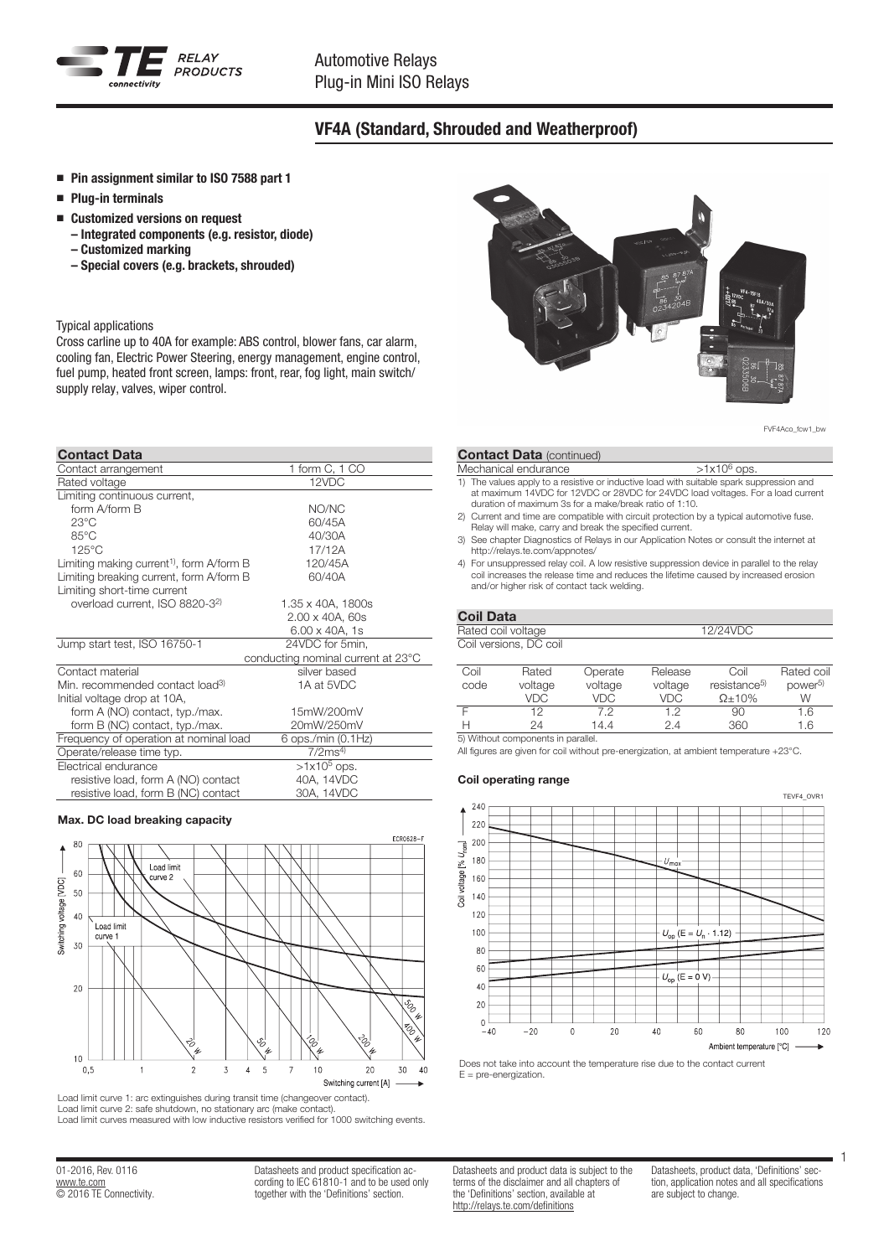

# VF4A (Standard, Shrouded and Weatherproof)

- Pin assignment similar to ISO 7588 part 1
- Plug-in terminals
- Customized versions on request
	- Integrated components (e.g. resistor, diode) – Customized marking
	- Special covers (e.g. brackets, shrouded)

### Typical applications

Cross carline up to 40A for example: ABS control, blower fans, car alarm, cooling fan, Electric Power Steering, energy management, engine control, fuel pump, heated front screen, lamps: front, rear, fog light, main switch/ supply relay, valves, wiper control.

### Contact Data

| Contact arrangement                                   | 1 form C, 1 CO                     |
|-------------------------------------------------------|------------------------------------|
| Rated voltage                                         | 12VDC                              |
| Limiting continuous current,                          |                                    |
| form A/form B                                         | NO/NC                              |
| $23^{\circ}$ C                                        | 60/45A                             |
| $85^{\circ}$ C                                        | 40/30A                             |
| $125^{\circ}$ C                                       | 17/12A                             |
| Limiting making current <sup>1)</sup> , form A/form B | 120/45A                            |
| Limiting breaking current, form A/form B              | 60/40A                             |
| Limiting short-time current                           |                                    |
| overload current, ISO 8820-32)                        | 1.35 x 40A, 1800s                  |
|                                                       | 2.00 x 40A, 60s                    |
|                                                       | 6.00 x 40A, 1s                     |
| Jump start test, ISO 16750-1                          | 24VDC for 5min,                    |
|                                                       | conducting nominal current at 23°C |
| Contact material                                      | silver based                       |
| Min. recommended contact load <sup>3)</sup>           | 1A at 5VDC                         |
| Initial voltage drop at 10A,                          |                                    |
| form A (NO) contact, typ./max.                        | 15mW/200mV                         |
| form B (NC) contact, typ./max.                        | 20mW/250mV                         |
| Frequency of operation at nominal load                | 6 ops./min (0.1Hz)                 |
| Operate/release time typ.                             | 7/2ms <sup>4</sup>                 |
| Electrical endurance                                  | $>1x10^5$ ops.                     |
| resistive load, form A (NO) contact                   | 40A, 14VDC                         |
| resistive load, form B (NC) contact                   | 30A, 14VDC                         |

### Max. DC load breaking capacity



Load limit curve 1: arc extinguishes during transit time (changeover contact). Load limit curve 2: safe shutdown, no stationary arc (make contact). Load limit curves measured with low inductive resistors verified for 1000 switching events.

01-2016, Rev. 0116 www.te.com © 2016 TE Connectivity. Datasheets and product specification according to IEC 61810-1 and to be used only together with the 'Definitions' section.



FVF4Aco\_fcw1\_bw

### **Contact Data (continued)**

#### Mechanical endurance  $>1x10^6$  ops.

- 1) The values apply to a resistive or inductive load with suitable spark suppression and at maximum 14VDC for 12VDC or 28VDC for 24VDC load voltages. For a load current duration of maximum 3s for a make/break ratio of 1:10.
- 2) Current and time are compatible with circuit protection by a typical automotive fuse. Relay will make, carry and break the specified current.
- 3) See chapter Diagnostics of Relays in our Application Notes or consult the internet at http://relays.te.com/appnotes/
- 4) For unsuppressed relay coil. A low resistive suppression device in parallel to the relay coil increases the release time and reduces the lifetime caused by increased erosion and/or higher risk of contact tack welding.

## Coil Data

|      | Rated coil voltage                 |         | 12/24VDC   |                          |                     |  |  |  |  |
|------|------------------------------------|---------|------------|--------------------------|---------------------|--|--|--|--|
|      | Coil versions, DC coil             |         |            |                          |                     |  |  |  |  |
|      |                                    |         |            |                          |                     |  |  |  |  |
| Coil | Rated                              | Operate | Release    | Coil                     | Rated coil          |  |  |  |  |
| code | voltage                            | voltage | voltage    | resistance <sup>5)</sup> | power <sup>5)</sup> |  |  |  |  |
|      | VDC                                | VDC     | <b>VDC</b> | $\Omega$ + 10%           | W                   |  |  |  |  |
|      | 12                                 | 7.2     | 1.2        | 90                       | 1.6                 |  |  |  |  |
|      | 24                                 | 14.4    | 2.4        | 360                      | 1.6                 |  |  |  |  |
|      | 5) Without components in parallel. |         |            |                          |                     |  |  |  |  |

All figures are given for coil without pre-energization, at ambient temperature +23°C.

#### Coil operating range



Does not take into account the temperature rise due to the contact current  $F = n$ re-energization.

Datasheets and product data is subject to the terms of the disclaimer and all chapters of the 'Definitions' section, available at http://relays.te.com/definitions

Datasheets, product data, 'Definitions' section, application notes and all specifications are subject to change.

1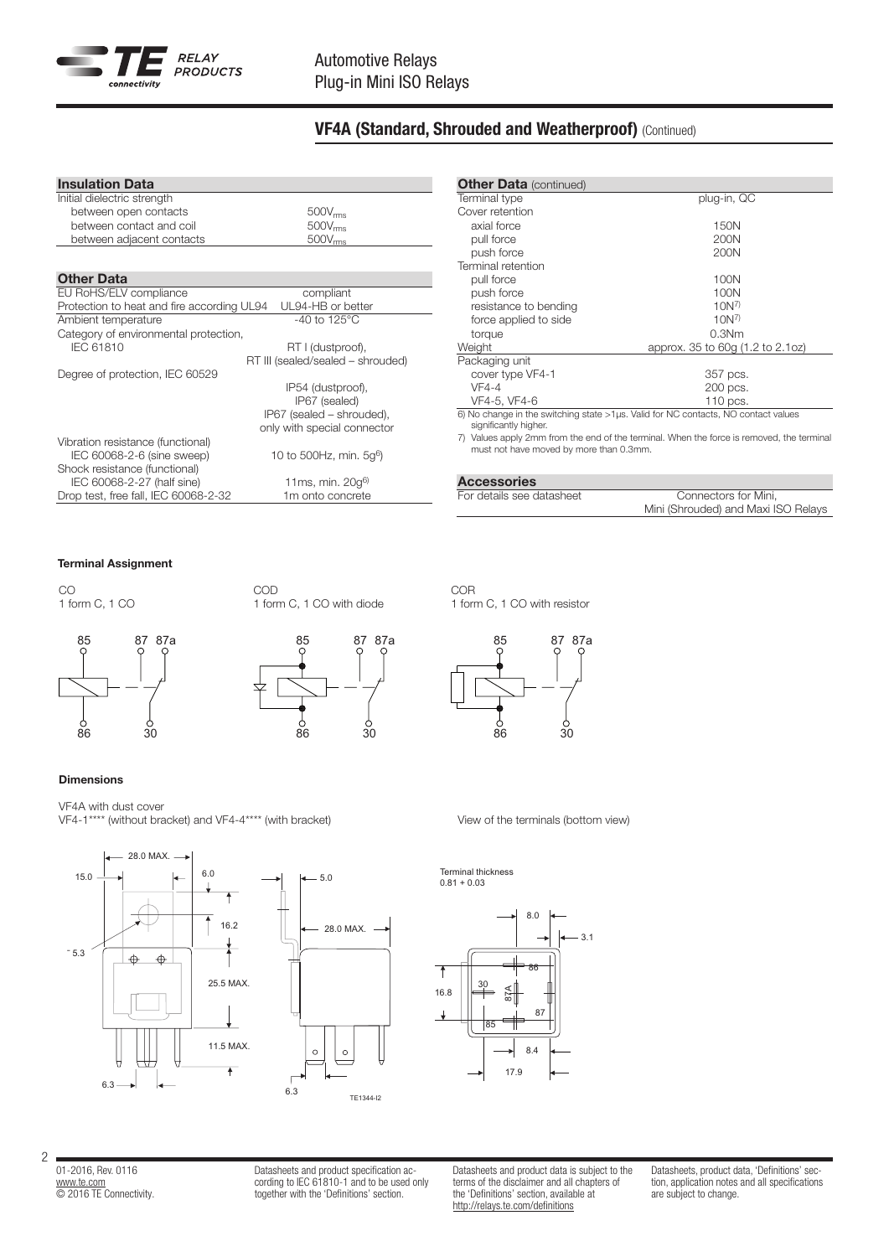

# VF4A (Standard, Shrouded and Weatherproof) (Continued)

| <b>Insulation Data</b>                     |                                     |
|--------------------------------------------|-------------------------------------|
| Initial dielectric strength                |                                     |
| between open contacts                      | $500V_{rms}$                        |
| between contact and coil                   | $500V_{rms}$                        |
| between adjacent contacts                  | 500V <sub>rms</sub>                 |
|                                            |                                     |
| <b>Other Data</b>                          |                                     |
| EU RoHS/ELV compliance                     | compliant                           |
| Protection to heat and fire according UL94 | UL94-HB or better                   |
| Ambient temperature                        | $-40$ to 125°C                      |
| Category of environmental protection,      |                                     |
| <b>IEC 61810</b>                           | RT I (dustproof),                   |
|                                            | RT III (sealed/sealed - shrouded)   |
| Degree of protection, IEC 60529            |                                     |
|                                            | IP54 (dustproof),                   |
|                                            | IP67 (sealed)                       |
|                                            | IP67 (sealed - shrouded),           |
|                                            | only with special connector         |
| Vibration resistance (functional)          |                                     |
| IEC 60068-2-6 (sine sweep)                 | 10 to 500Hz, min. 5g <sup>6</sup> ) |
| Shock resistance (functional)              |                                     |
| IEC 60068-2-27 (half sine)                 | 11ms, min. $20q^{6}$                |
| Drop test, free fall, IEC 60068-2-32       | 1m onto concrete                    |

| <b>Other Data (continued)</b><br>Terminal type | plug-in, QC                                                                             |  |  |  |  |  |
|------------------------------------------------|-----------------------------------------------------------------------------------------|--|--|--|--|--|
|                                                |                                                                                         |  |  |  |  |  |
| Cover retention                                |                                                                                         |  |  |  |  |  |
| axial force                                    | 150N                                                                                    |  |  |  |  |  |
| pull force                                     | 200N                                                                                    |  |  |  |  |  |
| push force                                     | 200N                                                                                    |  |  |  |  |  |
| Terminal retention                             |                                                                                         |  |  |  |  |  |
| pull force                                     | 100N                                                                                    |  |  |  |  |  |
| push force                                     | 100N                                                                                    |  |  |  |  |  |
| resistance to bending                          | $10N^{7}$                                                                               |  |  |  |  |  |
| force applied to side                          | $10N^7$                                                                                 |  |  |  |  |  |
| torque                                         | 0.3Nm                                                                                   |  |  |  |  |  |
| Weight                                         | approx. 35 to 60g (1.2 to 2.1oz)                                                        |  |  |  |  |  |
| Packaging unit                                 |                                                                                         |  |  |  |  |  |
| cover type VF4-1                               | 357 pcs.                                                                                |  |  |  |  |  |
| $VF4-4$                                        | 200 pcs.                                                                                |  |  |  |  |  |
| VF4-5, VF4-6                                   | 110 pcs.                                                                                |  |  |  |  |  |
| significantly higher.                          | $6)$ No change in the switching state $>1$ µs. Valid for NC contacts, NO contact values |  |  |  |  |  |
|                                                | 7) Values apply 2mm from the end of the terminal When the ferce is removed the terminal |  |  |  |  |  |

7) Values apply 2mm from the end of the terminal. When the force is removed, the terminal must not have moved by more than 0.3mm.

### Accessories

For details see datasheet Connectors for Mini, Mini (Shrouded) and Maxi ISO Relays

# Terminal Assignment

CO 1 form C, 1 CO





1 form C, 1 CO with diode

COD

### Dimensions

VF4A with dust cover VF4-1\*\*\*\* (without bracket) and VF4-4\*\*\*\* (with bracket) variables of the terminals (bottom view)





87 87a 86 30 85





01-2016, Rev. 0116 www.te.com © 2016 TE Connectivity.

2

Datasheets and product specification according to IEC 61810-1 and to be used only together with the 'Definitions' section.

Datasheets and product data is subject to the terms of the disclaimer and all chapters of the 'Definitions' section, available at http://relays.te.com/definitions

Datasheets, product data, 'Definitions' section, application notes and all specifications are subject to change.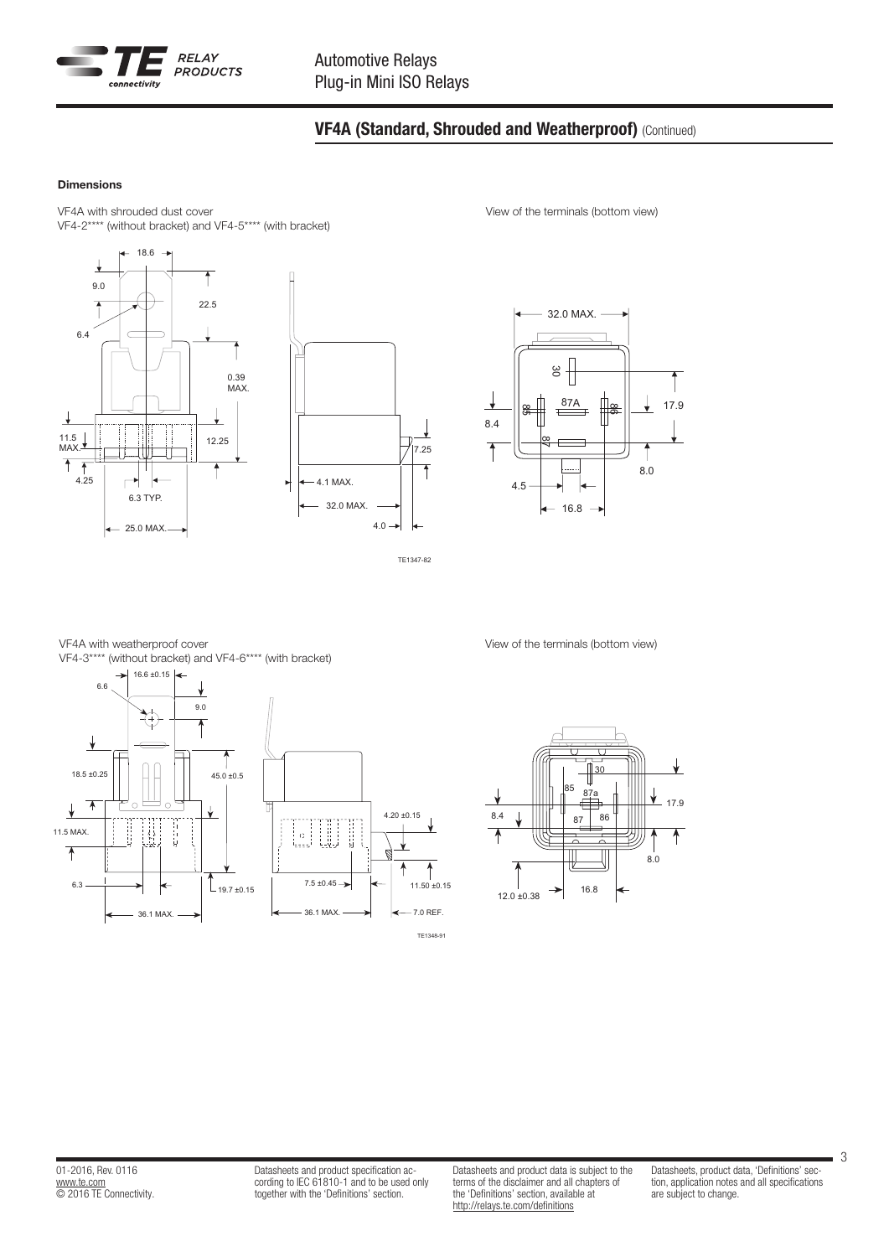

# VF4A (Standard, Shrouded and Weatherproof) (Continued)

11.5

### Dimensions

VF4A with shrouded dust cover VF4-2\*\*\*\* (without bracket) and VF4-5\*\*\*\* (with bracket)





TE1347-82 TE1347-82

View of the terminals (bottom view)



VF4-3\*\*\*\* (without bracket) and VF4-6\*\*\*\* (with bracket)  $16.6 \pm 0.15$ VF4A with weatherproof cover 30



View of the terminals (bottom view)



Datasheets and product specification according to IEC 61810-1 and to be used only together with the 'Definitions' section.

Datasheets and product data is subject to the terms of the disclaimer and all chapters of the 'Definitions' section, available at http://relays.te.com/definitions

Datasheets, product data, 'Definitions' section, application notes and all specifications are subject to change.

3